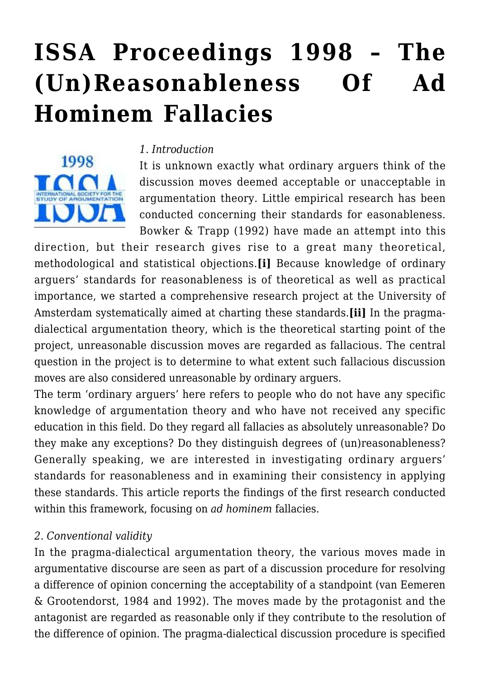# **[ISSA Proceedings 1998 – The](https://rozenbergquarterly.com/issa-proceedings-1998-the-unreasonableness-of-ad-hominem-fallacies/) [\(Un\)Reasonableness Of Ad](https://rozenbergquarterly.com/issa-proceedings-1998-the-unreasonableness-of-ad-hominem-fallacies/) [Hominem Fallacies](https://rozenbergquarterly.com/issa-proceedings-1998-the-unreasonableness-of-ad-hominem-fallacies/)**



#### *1. Introduction*

It is unknown exactly what ordinary arguers think of the discussion moves deemed acceptable or unacceptable in argumentation theory. Little empirical research has been conducted concerning their standards for easonableness. Bowker & Trapp (1992) have made an attempt into this

direction, but their research gives rise to a great many theoretical, methodological and statistical objections.**[i]** Because knowledge of ordinary arguers' standards for reasonableness is of theoretical as well as practical importance, we started a comprehensive research project at the University of Amsterdam systematically aimed at charting these standards.**[ii]** In the pragmadialectical argumentation theory, which is the theoretical starting point of the project, unreasonable discussion moves are regarded as fallacious. The central question in the project is to determine to what extent such fallacious discussion moves are also considered unreasonable by ordinary arguers.

The term 'ordinary arguers' here refers to people who do not have any specific knowledge of argumentation theory and who have not received any specific education in this field. Do they regard all fallacies as absolutely unreasonable? Do they make any exceptions? Do they distinguish degrees of (un)reasonableness? Generally speaking, we are interested in investigating ordinary arguers' standards for reasonableness and in examining their consistency in applying these standards. This article reports the findings of the first research conducted within this framework, focusing on *ad hominem* fallacies.

#### *2. Conventional validity*

In the pragma-dialectical argumentation theory, the various moves made in argumentative discourse are seen as part of a discussion procedure for resolving a difference of opinion concerning the acceptability of a standpoint (van Eemeren & Grootendorst, 1984 and 1992). The moves made by the protagonist and the antagonist are regarded as reasonable only if they contribute to the resolution of the difference of opinion. The pragma-dialectical discussion procedure is specified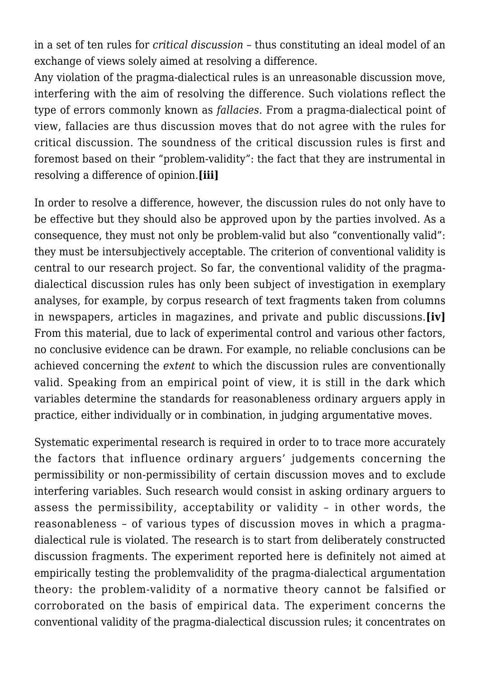in a set of ten rules for *critical discussion* – thus constituting an ideal model of an exchange of views solely aimed at resolving a difference.

Any violation of the pragma-dialectical rules is an unreasonable discussion move, interfering with the aim of resolving the difference. Such violations reflect the type of errors commonly known as *fallacies*. From a pragma-dialectical point of view, fallacies are thus discussion moves that do not agree with the rules for critical discussion. The soundness of the critical discussion rules is first and foremost based on their "problem-validity": the fact that they are instrumental in resolving a difference of opinion.**[iii]**

In order to resolve a difference, however, the discussion rules do not only have to be effective but they should also be approved upon by the parties involved. As a consequence, they must not only be problem-valid but also "conventionally valid": they must be intersubjectively acceptable. The criterion of conventional validity is central to our research project. So far, the conventional validity of the pragmadialectical discussion rules has only been subject of investigation in exemplary analyses, for example, by corpus research of text fragments taken from columns in newspapers, articles in magazines, and private and public discussions.**[iv]** From this material, due to lack of experimental control and various other factors, no conclusive evidence can be drawn. For example, no reliable conclusions can be achieved concerning the *extent* to which the discussion rules are conventionally valid. Speaking from an empirical point of view, it is still in the dark which variables determine the standards for reasonableness ordinary arguers apply in practice, either individually or in combination, in judging argumentative moves.

Systematic experimental research is required in order to to trace more accurately the factors that influence ordinary arguers' judgements concerning the permissibility or non-permissibility of certain discussion moves and to exclude interfering variables. Such research would consist in asking ordinary arguers to assess the permissibility, acceptability or validity – in other words, the reasonableness – of various types of discussion moves in which a pragmadialectical rule is violated. The research is to start from deliberately constructed discussion fragments. The experiment reported here is definitely not aimed at empirically testing the problemvalidity of the pragma-dialectical argumentation theory: the problem-validity of a normative theory cannot be falsified or corroborated on the basis of empirical data. The experiment concerns the conventional validity of the pragma-dialectical discussion rules; it concentrates on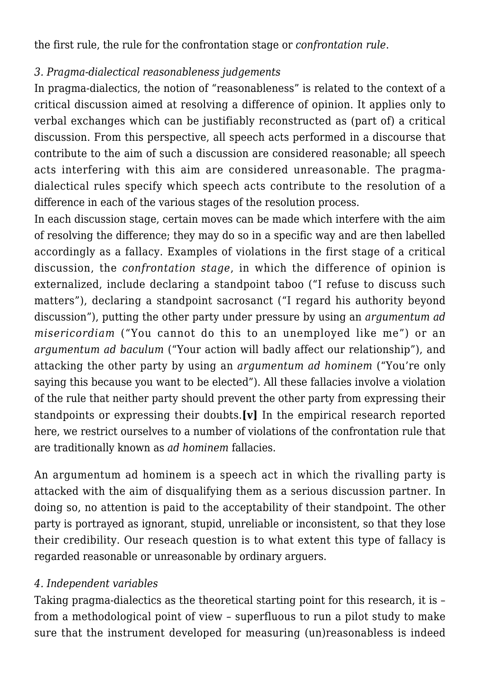the first rule, the rule for the confrontation stage or *confrontation rule*.

# *3. Pragma-dialectical reasonableness judgements*

In pragma-dialectics, the notion of "reasonableness" is related to the context of a critical discussion aimed at resolving a difference of opinion. It applies only to verbal exchanges which can be justifiably reconstructed as (part of) a critical discussion. From this perspective, all speech acts performed in a discourse that contribute to the aim of such a discussion are considered reasonable; all speech acts interfering with this aim are considered unreasonable. The pragmadialectical rules specify which speech acts contribute to the resolution of a difference in each of the various stages of the resolution process.

In each discussion stage, certain moves can be made which interfere with the aim of resolving the difference; they may do so in a specific way and are then labelled accordingly as a fallacy. Examples of violations in the first stage of a critical discussion, the *confrontation stage*, in which the difference of opinion is externalized, include declaring a standpoint taboo ("I refuse to discuss such matters"), declaring a standpoint sacrosanct ("I regard his authority beyond discussion"), putting the other party under pressure by using an *argumentum ad misericordiam* ("You cannot do this to an unemployed like me") or an *argumentum ad baculum* ("Your action will badly affect our relationship"), and attacking the other party by using an *argumentum ad hominem* ("You're only saying this because you want to be elected"). All these fallacies involve a violation of the rule that neither party should prevent the other party from expressing their standpoints or expressing their doubts.**[v]** In the empirical research reported here, we restrict ourselves to a number of violations of the confrontation rule that are traditionally known as *ad hominem* fallacies.

An argumentum ad hominem is a speech act in which the rivalling party is attacked with the aim of disqualifying them as a serious discussion partner. In doing so, no attention is paid to the acceptability of their standpoint. The other party is portrayed as ignorant, stupid, unreliable or inconsistent, so that they lose their credibility. Our reseach question is to what extent this type of fallacy is regarded reasonable or unreasonable by ordinary arguers.

## *4. Independent variables*

Taking pragma-dialectics as the theoretical starting point for this research, it is – from a methodological point of view – superfluous to run a pilot study to make sure that the instrument developed for measuring (un)reasonabless is indeed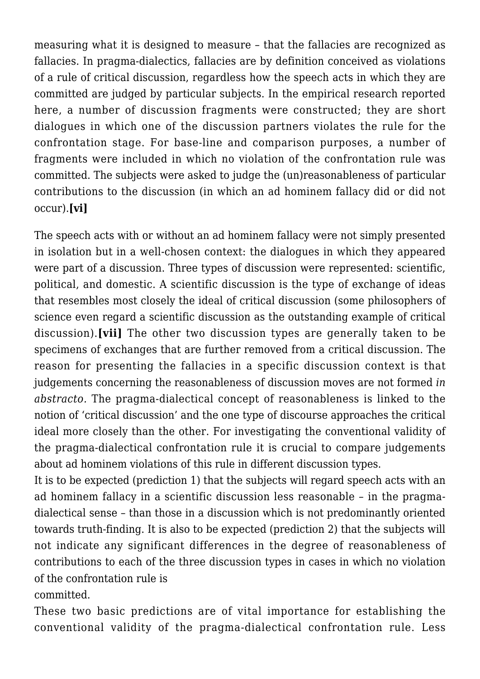measuring what it is designed to measure – that the fallacies are recognized as fallacies. In pragma-dialectics, fallacies are by definition conceived as violations of a rule of critical discussion, regardless how the speech acts in which they are committed are judged by particular subjects. In the empirical research reported here, a number of discussion fragments were constructed; they are short dialogues in which one of the discussion partners violates the rule for the confrontation stage. For base-line and comparison purposes, a number of fragments were included in which no violation of the confrontation rule was committed. The subjects were asked to judge the (un)reasonableness of particular contributions to the discussion (in which an ad hominem fallacy did or did not occur).**[vi]**

The speech acts with or without an ad hominem fallacy were not simply presented in isolation but in a well-chosen context: the dialogues in which they appeared were part of a discussion. Three types of discussion were represented: scientific, political, and domestic. A scientific discussion is the type of exchange of ideas that resembles most closely the ideal of critical discussion (some philosophers of science even regard a scientific discussion as the outstanding example of critical discussion).**[vii]** The other two discussion types are generally taken to be specimens of exchanges that are further removed from a critical discussion. The reason for presenting the fallacies in a specific discussion context is that judgements concerning the reasonableness of discussion moves are not formed *in abstracto.* The pragma-dialectical concept of reasonableness is linked to the notion of 'critical discussion' and the one type of discourse approaches the critical ideal more closely than the other. For investigating the conventional validity of the pragma-dialectical confrontation rule it is crucial to compare judgements about ad hominem violations of this rule in different discussion types.

It is to be expected (prediction 1) that the subjects will regard speech acts with an ad hominem fallacy in a scientific discussion less reasonable – in the pragmadialectical sense – than those in a discussion which is not predominantly oriented towards truth-finding. It is also to be expected (prediction 2) that the subjects will not indicate any significant differences in the degree of reasonableness of contributions to each of the three discussion types in cases in which no violation of the confrontation rule is

committed.

These two basic predictions are of vital importance for establishing the conventional validity of the pragma-dialectical confrontation rule. Less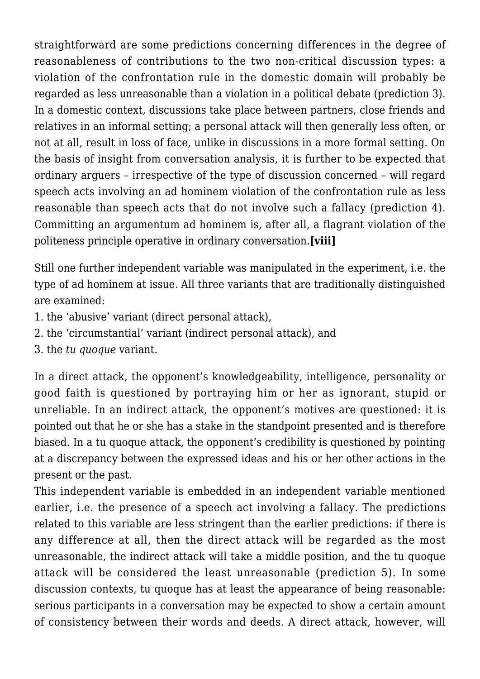straightforward are some predictions concerning differences in the degree of reasonableness of contributions to the two non-critical discussion types: a violation of the confrontation rule in the domestic domain will probably be regarded as less unreasonable than a violation in a political debate (prediction 3). In a domestic context, discussions take place between partners, close friends and relatives in an informal setting; a personal attack will then generally less often, or not at all, result in loss of face, unlike in discussions in a more formal setting. On the basis of insight from conversation analysis, it is further to be expected that ordinary arguers – irrespective of the type of discussion concerned – will regard speech acts involving an ad hominem violation of the confrontation rule as less reasonable than speech acts that do not involve such a fallacy (prediction 4). Committing an argumentum ad hominem is, after all, a flagrant violation of the politeness principle operative in ordinary conversation.**[viii]**

Still one further independent variable was manipulated in the experiment, i.e. the type of ad hominem at issue. All three variants that are traditionally distinguished are examined:

- 1. the 'abusive' variant (direct personal attack),
- 2. the 'circumstantial' variant (indirect personal attack), and
- 3. the *tu quoque* variant.

In a direct attack, the opponent's knowledgeability, intelligence, personality or good faith is questioned by portraying him or her as ignorant, stupid or unreliable. In an indirect attack, the opponent's motives are questioned: it is pointed out that he or she has a stake in the standpoint presented and is therefore biased. In a tu quoque attack, the opponent's credibility is questioned by pointing at a discrepancy between the expressed ideas and his or her other actions in the present or the past.

This independent variable is embedded in an independent variable mentioned earlier, i.e. the presence of a speech act involving a fallacy. The predictions related to this variable are less stringent than the earlier predictions: if there is any difference at all, then the direct attack will be regarded as the most unreasonable, the indirect attack will take a middle position, and the tu quoque attack will be considered the least unreasonable (prediction 5). In some discussion contexts, tu quoque has at least the appearance of being reasonable: serious participants in a conversation may be expected to show a certain amount of consistency between their words and deeds. A direct attack, however, will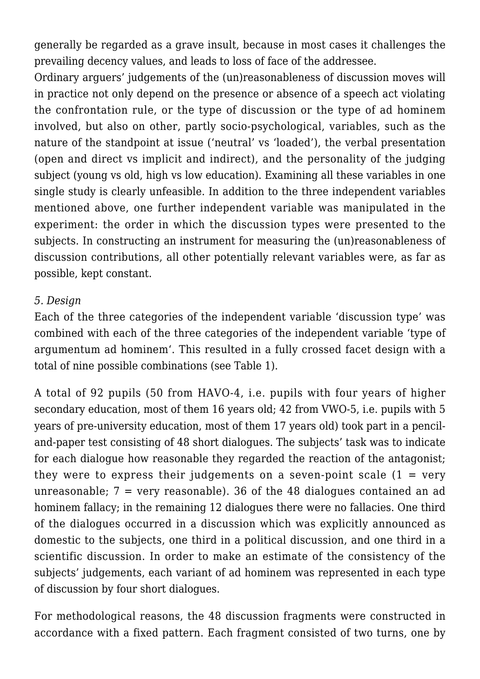generally be regarded as a grave insult, because in most cases it challenges the prevailing decency values, and leads to loss of face of the addressee.

Ordinary arguers' judgements of the (un)reasonableness of discussion moves will in practice not only depend on the presence or absence of a speech act violating the confrontation rule, or the type of discussion or the type of ad hominem involved, but also on other, partly socio-psychological, variables, such as the nature of the standpoint at issue ('neutral' vs 'loaded'), the verbal presentation (open and direct vs implicit and indirect), and the personality of the judging subject (young vs old, high vs low education). Examining all these variables in one single study is clearly unfeasible. In addition to the three independent variables mentioned above, one further independent variable was manipulated in the experiment: the order in which the discussion types were presented to the subjects. In constructing an instrument for measuring the (un)reasonableness of discussion contributions, all other potentially relevant variables were, as far as possible, kept constant.

#### *5. Design*

Each of the three categories of the independent variable 'discussion type' was combined with each of the three categories of the independent variable 'type of argumentum ad hominem'. This resulted in a fully crossed facet design with a total of nine possible combinations (see Table 1).

A total of 92 pupils (50 from HAVO-4, i.e. pupils with four years of higher secondary education, most of them 16 years old; 42 from VWO-5, i.e. pupils with 5 years of pre-university education, most of them 17 years old) took part in a penciland-paper test consisting of 48 short dialogues. The subjects' task was to indicate for each dialogue how reasonable they regarded the reaction of the antagonist; they were to express their judgements on a seven-point scale  $(1 = \text{very}$ unreasonable;  $7 = \text{very reasonable}$ ). 36 of the 48 dialogues contained an ad hominem fallacy; in the remaining 12 dialogues there were no fallacies. One third of the dialogues occurred in a discussion which was explicitly announced as domestic to the subjects, one third in a political discussion, and one third in a scientific discussion. In order to make an estimate of the consistency of the subjects' judgements, each variant of ad hominem was represented in each type of discussion by four short dialogues.

For methodological reasons, the 48 discussion fragments were constructed in accordance with a fixed pattern. Each fragment consisted of two turns, one by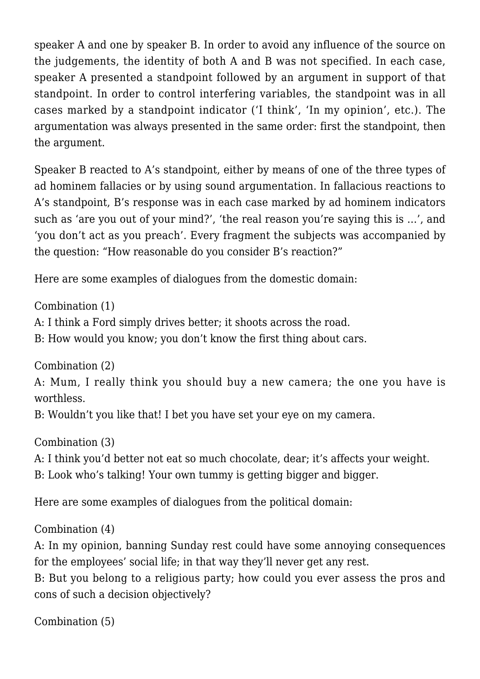speaker A and one by speaker B. In order to avoid any influence of the source on the judgements, the identity of both A and B was not specified. In each case, speaker A presented a standpoint followed by an argument in support of that standpoint. In order to control interfering variables, the standpoint was in all cases marked by a standpoint indicator ('I think', 'In my opinion', etc.). The argumentation was always presented in the same order: first the standpoint, then the argument.

Speaker B reacted to A's standpoint, either by means of one of the three types of ad hominem fallacies or by using sound argumentation. In fallacious reactions to A's standpoint, B's response was in each case marked by ad hominem indicators such as 'are you out of your mind?', 'the real reason you're saying this is …', and 'you don't act as you preach'. Every fragment the subjects was accompanied by the question: "How reasonable do you consider B's reaction?"

Here are some examples of dialogues from the domestic domain:

Combination (1)

A: I think a Ford simply drives better; it shoots across the road.

B: How would you know; you don't know the first thing about cars.

Combination (2)

A: Mum, I really think you should buy a new camera; the one you have is worthless.

B: Wouldn't you like that! I bet you have set your eye on my camera.

Combination (3)

A: I think you'd better not eat so much chocolate, dear; it's affects your weight.

B: Look who's talking! Your own tummy is getting bigger and bigger.

Here are some examples of dialogues from the political domain:

Combination (4)

A: In my opinion, banning Sunday rest could have some annoying consequences for the employees' social life; in that way they'll never get any rest.

B: But you belong to a religious party; how could you ever assess the pros and cons of such a decision objectively?

Combination (5)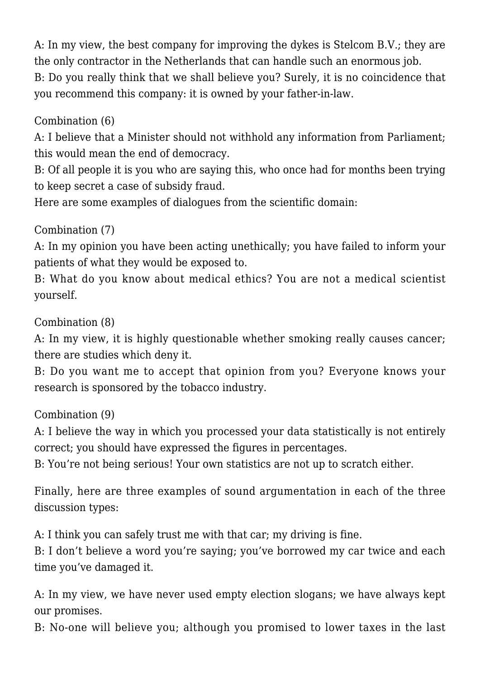A: In my view, the best company for improving the dykes is Stelcom B.V.; they are the only contractor in the Netherlands that can handle such an enormous job. B: Do you really think that we shall believe you? Surely, it is no coincidence that you recommend this company: it is owned by your father-in-law.

# Combination (6)

A: I believe that a Minister should not withhold any information from Parliament; this would mean the end of democracy.

B: Of all people it is you who are saying this, who once had for months been trying to keep secret a case of subsidy fraud.

Here are some examples of dialogues from the scientific domain:

# Combination (7)

A: In my opinion you have been acting unethically; you have failed to inform your patients of what they would be exposed to.

B: What do you know about medical ethics? You are not a medical scientist yourself.

Combination (8)

A: In my view, it is highly questionable whether smoking really causes cancer; there are studies which deny it.

B: Do you want me to accept that opinion from you? Everyone knows your research is sponsored by the tobacco industry.

Combination (9)

A: I believe the way in which you processed your data statistically is not entirely correct; you should have expressed the figures in percentages.

B: You're not being serious! Your own statistics are not up to scratch either.

Finally, here are three examples of sound argumentation in each of the three discussion types:

A: I think you can safely trust me with that car; my driving is fine.

B: I don't believe a word you're saying; you've borrowed my car twice and each time you've damaged it.

A: In my view, we have never used empty election slogans; we have always kept our promises.

B: No-one will believe you; although you promised to lower taxes in the last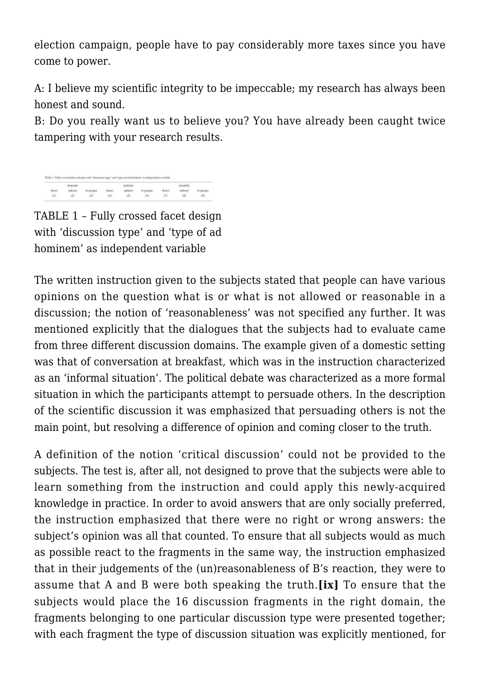election campaign, people have to pay considerably more taxes since you have come to power.

A: I believe my scientific integrity to be impeccable; my research has always been honest and sound.

B: Do you really want us to believe you? You have already been caught twice tampering with your research results.

TABLE 1 – Fully crossed facet design with 'discussion type' and 'type of ad hominem' as independent variable

The written instruction given to the subjects stated that people can have various opinions on the question what is or what is not allowed or reasonable in a discussion; the notion of 'reasonableness' was not specified any further. It was mentioned explicitly that the dialogues that the subjects had to evaluate came from three different discussion domains. The example given of a domestic setting was that of conversation at breakfast, which was in the instruction characterized as an 'informal situation'. The political debate was characterized as a more formal situation in which the participants attempt to persuade others. In the description of the scientific discussion it was emphasized that persuading others is not the main point, but resolving a difference of opinion and coming closer to the truth.

A definition of the notion 'critical discussion' could not be provided to the subjects. The test is, after all, not designed to prove that the subjects were able to learn something from the instruction and could apply this newly-acquired knowledge in practice. In order to avoid answers that are only socially preferred, the instruction emphasized that there were no right or wrong answers: the subject's opinion was all that counted. To ensure that all subjects would as much as possible react to the fragments in the same way, the instruction emphasized that in their judgements of the (un)reasonableness of B's reaction, they were to assume that A and B were both speaking the truth.**[ix]** To ensure that the subjects would place the 16 discussion fragments in the right domain, the fragments belonging to one particular discussion type were presented together; with each fragment the type of discussion situation was explicitly mentioned, for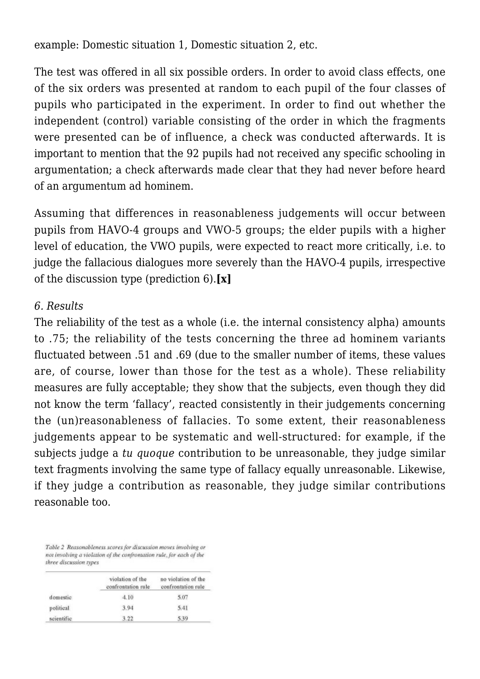example: Domestic situation 1, Domestic situation 2, etc.

The test was offered in all six possible orders. In order to avoid class effects, one of the six orders was presented at random to each pupil of the four classes of pupils who participated in the experiment. In order to find out whether the independent (control) variable consisting of the order in which the fragments were presented can be of influence, a check was conducted afterwards. It is important to mention that the 92 pupils had not received any specific schooling in argumentation; a check afterwards made clear that they had never before heard of an argumentum ad hominem.

Assuming that differences in reasonableness judgements will occur between pupils from HAVO-4 groups and VWO-5 groups; the elder pupils with a higher level of education, the VWO pupils, were expected to react more critically, i.e. to judge the fallacious dialogues more severely than the HAVO-4 pupils, irrespective of the discussion type (prediction 6).**[x]**

#### *6. Results*

The reliability of the test as a whole (i.e. the internal consistency alpha) amounts to .75; the reliability of the tests concerning the three ad hominem variants fluctuated between .51 and .69 (due to the smaller number of items, these values are, of course, lower than those for the test as a whole). These reliability measures are fully acceptable; they show that the subjects, even though they did not know the term 'fallacy', reacted consistently in their judgements concerning the (un)reasonableness of fallacies. To some extent, their reasonableness judgements appear to be systematic and well-structured: for example, if the subjects judge a *tu quoque* contribution to be unreasonable, they judge similar text fragments involving the same type of fallacy equally unreasonable. Likewise, if they judge a contribution as reasonable, they judge similar contributions reasonable too.

Table 2 Reasonableness scores for discussion moves involving or not involving a violation of the confrontation rule, for each of the three discussion types

|            | violation of the<br>confrontation rule | no violation of the<br>confrontation rule |
|------------|----------------------------------------|-------------------------------------------|
| domestic   | 4.10                                   | 5.07                                      |
| political  | 3.94                                   | 5.41                                      |
| scientific | 3.22                                   | 5.39                                      |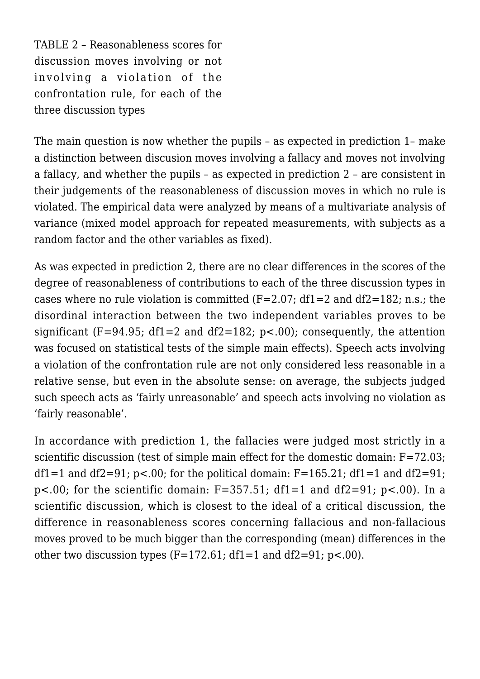TABLE 2 – Reasonableness scores for discussion moves involving or not involving a violation of the confrontation rule, for each of the three discussion types

The main question is now whether the pupils – as expected in prediction 1– make a distinction between discusion moves involving a fallacy and moves not involving a fallacy, and whether the pupils – as expected in prediction 2 – are consistent in their judgements of the reasonableness of discussion moves in which no rule is violated. The empirical data were analyzed by means of a multivariate analysis of variance (mixed model approach for repeated measurements, with subjects as a random factor and the other variables as fixed).

As was expected in prediction 2, there are no clear differences in the scores of the degree of reasonableness of contributions to each of the three discussion types in cases where no rule violation is committed  $(F=2.07; df1=2$  and  $df2=182; n.s.; the$ disordinal interaction between the two independent variables proves to be significant (F=94.95; df1=2 and df2=182;  $p<0$ ); consequently, the attention was focused on statistical tests of the simple main effects). Speech acts involving a violation of the confrontation rule are not only considered less reasonable in a relative sense, but even in the absolute sense: on average, the subjects judged such speech acts as 'fairly unreasonable' and speech acts involving no violation as 'fairly reasonable'.

In accordance with prediction 1, the fallacies were judged most strictly in a scientific discussion (test of simple main effect for the domestic domain: F=72.03; df1=1 and df2=91;  $p$ <.00; for the political domain: F=165.21; df1=1 and df2=91; p<.00; for the scientific domain:  $F=357.51$ ;  $df1=1$  and  $df2=91$ ; p<.00). In a scientific discussion, which is closest to the ideal of a critical discussion, the difference in reasonableness scores concerning fallacious and non-fallacious moves proved to be much bigger than the corresponding (mean) differences in the other two discussion types  $(F=172.61; df=1$  and  $df2=91; p<.00$ ).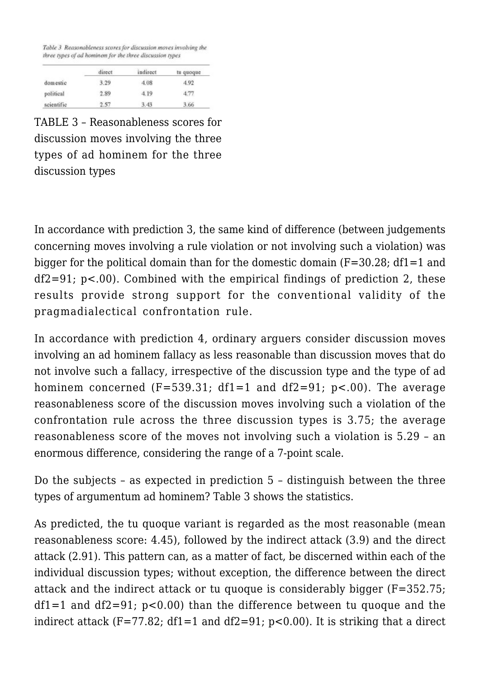Table 3 Reasonableness scores for discussion moves involving the three types of ad hominem for the three discussion types

|            | direct | indirect | tu quoque |
|------------|--------|----------|-----------|
| domestic   | 3.29   | 4.08     | 4.92      |
| political  | 2.89   | 4.19     | 4.77      |
| scientific | 2.57   | 3.43     | 3.66      |

TABLE 3 – Reasonableness scores for discussion moves involving the three types of ad hominem for the three discussion types

In accordance with prediction 3, the same kind of difference (between judgements concerning moves involving a rule violation or not involving such a violation) was bigger for the political domain than for the domestic domain  $(F=30.28; df=1$  and  $df2=91$ ; p<.00). Combined with the empirical findings of prediction 2, these results provide strong support for the conventional validity of the pragmadialectical confrontation rule.

In accordance with prediction 4, ordinary arguers consider discussion moves involving an ad hominem fallacy as less reasonable than discussion moves that do not involve such a fallacy, irrespective of the discussion type and the type of ad hominem concerned  $(F=539.31; df=1$  and  $df2=91; p<.00$ ). The average reasonableness score of the discussion moves involving such a violation of the confrontation rule across the three discussion types is 3.75; the average reasonableness score of the moves not involving such a violation is 5.29 – an enormous difference, considering the range of a 7-point scale.

Do the subjects – as expected in prediction 5 – distinguish between the three types of argumentum ad hominem? Table 3 shows the statistics.

As predicted, the tu quoque variant is regarded as the most reasonable (mean reasonableness score: 4.45), followed by the indirect attack (3.9) and the direct attack (2.91). This pattern can, as a matter of fact, be discerned within each of the individual discussion types; without exception, the difference between the direct attack and the indirect attack or tu quoque is considerably bigger (F=352.75; df1=1 and df2=91; p<0.00) than the difference between tu quoque and the indirect attack (F=77.82; df1=1 and df2=91;  $p<0.00$ ). It is striking that a direct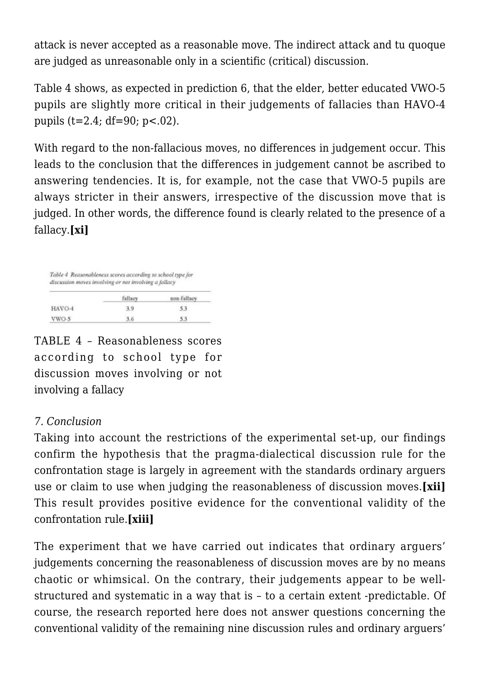attack is never accepted as a reasonable move. The indirect attack and tu quoque are judged as unreasonable only in a scientific (critical) discussion.

Table 4 shows, as expected in prediction 6, that the elder, better educated VWO-5 pupils are slightly more critical in their judgements of fallacies than HAVO-4 pupils (t=2.4; df=90; p<.02).

With regard to the non-fallacious moves, no differences in judgement occur. This leads to the conclusion that the differences in judgement cannot be ascribed to answering tendencies. It is, for example, not the case that VWO-5 pupils are always stricter in their answers, irrespective of the discussion move that is judged. In other words, the difference found is clearly related to the presence of a fallacy.**[xi]**

|        | fallacy | non-fallacy |
|--------|---------|-------------|
| HAVO-4 | 3.9     | 53          |

TABLE 4 – Reasonableness scores according to school type for discussion moves involving or not involving a fallacy

## *7. Conclusion*

Taking into account the restrictions of the experimental set-up, our findings confirm the hypothesis that the pragma-dialectical discussion rule for the confrontation stage is largely in agreement with the standards ordinary arguers use or claim to use when judging the reasonableness of discussion moves.**[xii]** This result provides positive evidence for the conventional validity of the confrontation rule.**[xiii]**

The experiment that we have carried out indicates that ordinary arguers' judgements concerning the reasonableness of discussion moves are by no means chaotic or whimsical. On the contrary, their judgements appear to be wellstructured and systematic in a way that is – to a certain extent -predictable. Of course, the research reported here does not answer questions concerning the conventional validity of the remaining nine discussion rules and ordinary arguers'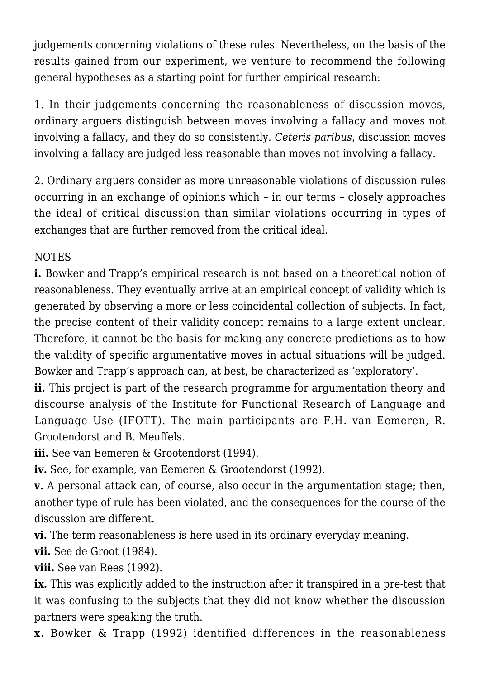judgements concerning violations of these rules. Nevertheless, on the basis of the results gained from our experiment, we venture to recommend the following general hypotheses as a starting point for further empirical research:

1. In their judgements concerning the reasonableness of discussion moves, ordinary arguers distinguish between moves involving a fallacy and moves not involving a fallacy, and they do so consistently. *Ceteris paribus*, discussion moves involving a fallacy are judged less reasonable than moves not involving a fallacy.

2. Ordinary arguers consider as more unreasonable violations of discussion rules occurring in an exchange of opinions which – in our terms – closely approaches the ideal of critical discussion than similar violations occurring in types of exchanges that are further removed from the critical ideal.

# NOTES

**i.** Bowker and Trapp's empirical research is not based on a theoretical notion of reasonableness. They eventually arrive at an empirical concept of validity which is generated by observing a more or less coincidental collection of subjects. In fact, the precise content of their validity concept remains to a large extent unclear. Therefore, it cannot be the basis for making any concrete predictions as to how the validity of specific argumentative moves in actual situations will be judged. Bowker and Trapp's approach can, at best, be characterized as 'exploratory'.

**ii.** This project is part of the research programme for argumentation theory and discourse analysis of the Institute for Functional Research of Language and Language Use (IFOTT). The main participants are F.H. van Eemeren, R. Grootendorst and B. Meuffels.

**iii.** See van Eemeren & Grootendorst (1994).

**iv.** See, for example, van Eemeren & Grootendorst (1992).

**v.** A personal attack can, of course, also occur in the argumentation stage; then, another type of rule has been violated, and the consequences for the course of the discussion are different.

**vi.** The term reasonableness is here used in its ordinary everyday meaning.

**vii.** See de Groot (1984).

**viii.** See van Rees (1992).

**ix.** This was explicitly added to the instruction after it transpired in a pre-test that it was confusing to the subjects that they did not know whether the discussion partners were speaking the truth.

**x.** Bowker & Trapp (1992) identified differences in the reasonableness